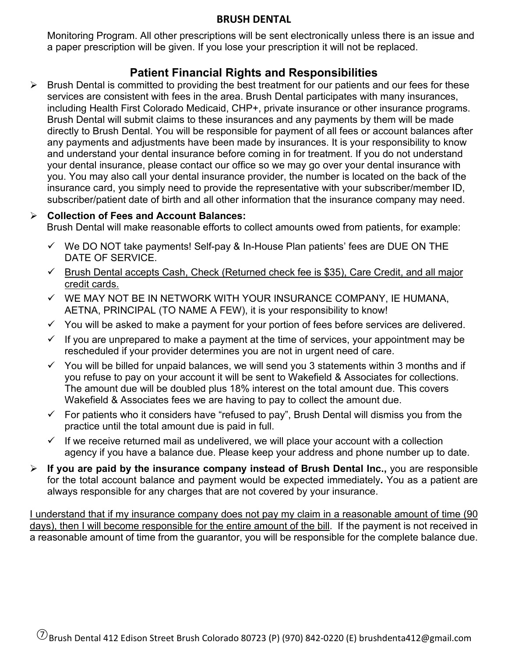### **BRUSH DENTAL**

Monitoring Program. All other prescriptions will be sent electronically unless there is an issue and a paper prescription will be given. If you lose your prescription it will not be replaced.

# **Patient Financial Rights and Responsibilities**

 $\triangleright$  Brush Dental is committed to providing the best treatment for our patients and our fees for these services are consistent with fees in the area. Brush Dental participates with many insurances, including Health First Colorado Medicaid, CHP+, private insurance or other insurance programs. Brush Dental will submit claims to these insurances and any payments by them will be made directly to Brush Dental. You will be responsible for payment of all fees or account balances after any payments and adjustments have been made by insurances. It is your responsibility to know and understand your dental insurance before coming in for treatment. If you do not understand your dental insurance, please contact our office so we may go over your dental insurance with you. You may also call your dental insurance provider, the number is located on the back of the insurance card, you simply need to provide the representative with your subscriber/member ID, subscriber/patient date of birth and all other information that the insurance company may need.

## **Collection of Fees and Account Balances:**

Brush Dental will make reasonable efforts to collect amounts owed from patients, for example:

- $\checkmark$  We DO NOT take payments! Self-pay & In-House Plan patients' fees are DUE ON THE DATE OF SERVICE.
- $\checkmark$  Brush Dental accepts Cash, Check (Returned check fee is \$35), Care Credit, and all major credit cards.
- $\checkmark$  WE MAY NOT BE IN NETWORK WITH YOUR INSURANCE COMPANY, IE HUMANA, AETNA, PRINCIPAL (TO NAME A FEW), it is your responsibility to know!
- $\checkmark$  You will be asked to make a payment for your portion of fees before services are delivered.
- $\checkmark$  If you are unprepared to make a payment at the time of services, your appointment may be rescheduled if your provider determines you are not in urgent need of care.
- $\checkmark$  You will be billed for unpaid balances, we will send you 3 statements within 3 months and if you refuse to pay on your account it will be sent to Wakefield & Associates for collections. The amount due will be doubled plus 18% interest on the total amount due. This covers Wakefield & Associates fees we are having to pay to collect the amount due.
- $\checkmark$  For patients who it considers have "refused to pay", Brush Dental will dismiss you from the practice until the total amount due is paid in full.
- $\checkmark$  If we receive returned mail as undelivered, we will place your account with a collection agency if you have a balance due. Please keep your address and phone number up to date.
- **If you are paid by the insurance company instead of Brush Dental Inc.,** you are responsible for the total account balance and payment would be expected immediately**.** You as a patient are always responsible for any charges that are not covered by your insurance.

I understand that if my insurance company does not pay my claim in a reasonable amount of time (90 days), then I will become responsible for the entire amount of the bill. If the payment is not received in a reasonable amount of time from the guarantor, you will be responsible for the complete balance due.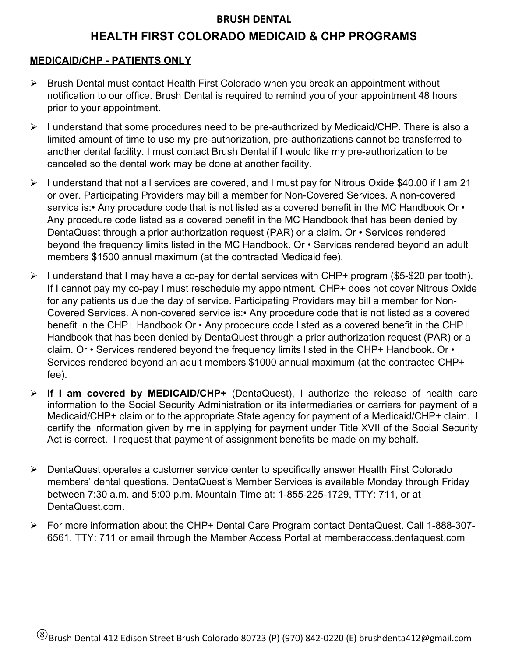#### **BRUSH DENTAL**

## **HEALTH FIRST COLORADO MEDICAID & CHP PROGRAMS**

## **MEDICAID/CHP - PATIENTS ONLY**

- $\triangleright$  Brush Dental must contact Health First Colorado when you break an appointment without notification to our office. Brush Dental is required to remind you of your appointment 48 hours prior to your appointment.
- $\triangleright$  I understand that some procedures need to be pre-authorized by Medicaid/CHP. There is also a limited amount of time to use my pre-authorization, pre-authorizations cannot be transferred to another dental facility. I must contact Brush Dental if I would like my pre-authorization to be canceled so the dental work may be done at another facility.
- $\triangleright$  I understand that not all services are covered, and I must pay for Nitrous Oxide \$40.00 if I am 21 or over. Participating Providers may bill a member for Non-Covered Services. A non-covered service is:• Any procedure code that is not listed as a covered benefit in the MC Handbook Or • Any procedure code listed as a covered benefit in the MC Handbook that has been denied by DentaQuest through a prior authorization request (PAR) or a claim. Or • Services rendered beyond the frequency limits listed in the MC Handbook. Or • Services rendered beyond an adult members \$1500 annual maximum (at the contracted Medicaid fee).
- $\triangleright$  I understand that I may have a co-pay for dental services with CHP+ program (\$5-\$20 per tooth). If I cannot pay my co-pay I must reschedule my appointment. CHP+ does not cover Nitrous Oxide for any patients us due the day of service. Participating Providers may bill a member for Non-Covered Services. A non-covered service is:• Any procedure code that is not listed as a covered benefit in the CHP+ Handbook Or • Any procedure code listed as a covered benefit in the CHP+ Handbook that has been denied by DentaQuest through a prior authorization request (PAR) or a claim. Or • Services rendered beyond the frequency limits listed in the CHP+ Handbook. Or • Services rendered beyond an adult members \$1000 annual maximum (at the contracted CHP+ fee).
- **If I am covered by MEDICAID/CHP+** (DentaQuest), I authorize the release of health care information to the Social Security Administration or its intermediaries or carriers for payment of a Medicaid/CHP+ claim or to the appropriate State agency for payment of a Medicaid/CHP+ claim. I certify the information given by me in applying for payment under Title XVII of the Social Security Act is correct. I request that payment of assignment benefits be made on my behalf.
- DentaQuest operates a customer service center to specifically answer Health First Colorado members' dental questions. DentaQuest's Member Services is available Monday through Friday between 7:30 a.m. and 5:00 p.m. Mountain Time at: 1-855-225-1729, TTY: 711, or at DentaQuest.com.
- For more information about the CHP+ Dental Care Program contact DentaQuest. Call 1-888-307- 6561, TTY: 711 or email through the Member Access Portal at memberaccess.dentaquest.com